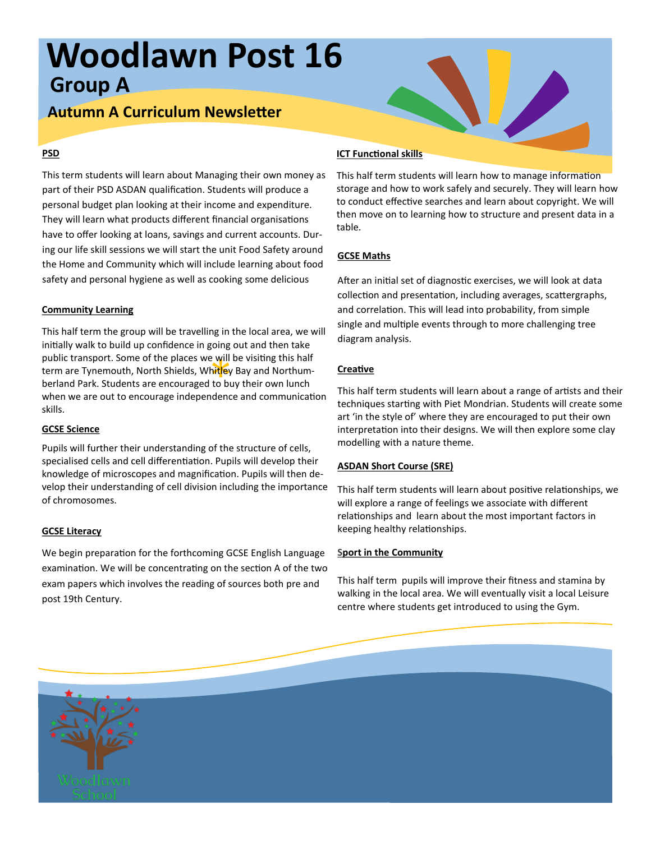# **Woodlawn Post 16 Group A**

# **Autumn A Curriculum Newsletter**

# **PSD**

This term students will learn about Managing their own money as part of their PSD ASDAN qualification. Students will produce a personal budget plan looking at their income and expenditure. They will learn what products different financial organisations have to offer looking at loans, savings and current accounts. During our life skill sessions we will start the unit Food Safety around the Home and Community which will include learning about food safety and personal hygiene as well as cooking some delicious

### **Community Learning**

e will<br>h<mark>itl</mark>ey<br>to bu<br>ndeno This half term the group will be travelling in the local area, we will initially walk to build up confidence in going out and then take public transport. Some of the places we will be visiting this half term are Tynemouth, North Shields, Wh<mark>itl</mark>ey Bay and Northumberland Park. Students are encouraged to buy their own lunch when we are out to encourage independence and communication skills.

# **GCSE Science**

Pupils will further their understanding of the structure of cells, specialised cells and cell differentiation. Pupils will develop their knowledge of microscopes and magnification. Pupils will then develop their understanding of cell division including the importance of chromosomes.

# **GCSE Literacy**

We begin preparation for the forthcoming GCSE English Language examination. We will be concentrating on the section A of the two exam papers which involves the reading of sources both pre and post 19th Century.

## **ICT Functional skills**

This half term students will learn how to manage information storage and how to work safely and securely. They will learn how to conduct effective searches and learn about copyright. We will then move on to learning how to structure and present data in a table.

# **GCSE Maths**

After an initial set of diagnostic exercises, we will look at data collection and presentation, including averages, scattergraphs, and correlation. This will lead into probability, from simple single and multiple events through to more challenging tree diagram analysis.

### **Creative**

This half term students will learn about a range of artists and their techniques starting with Piet Mondrian. Students will create some art 'in the style of' where they are encouraged to put their own interpretation into their designs. We will then explore some clay modelling with a nature theme.

# **ASDAN Short Course (SRE)**

This half term students will learn about positive relationships, we will explore a range of feelings we associate with different relationships and learn about the most important factors in keeping healthy relationships.

# **Sport in the Community**

This half term pupils will improve their fitness and stamina by walking in the local area. We will eventually visit a local Leisure centre where students get introduced to using the Gym.